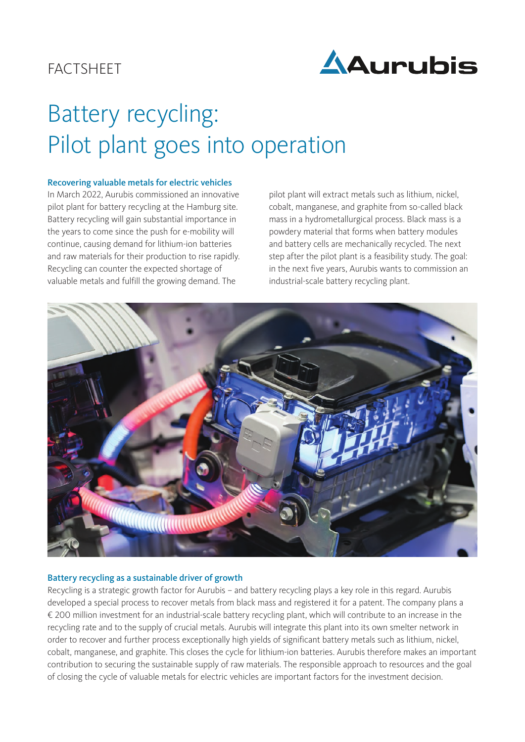# **FACTSHEET**



# Battery recycling: Pilot plant goes into operation

#### Recovering valuable metals for electric vehicles

In March 2022, Aurubis commissioned an innovative pilot plant for battery recycling at the Hamburg site. Battery recycling will gain substantial importance in the years to come since the push for e-mobility will continue, causing demand for lithium-ion batteries and raw materials for their production to rise rapidly. Recycling can counter the expected shortage of valuable metals and fulfill the growing demand. The

pilot plant will extract metals such as lithium, nickel, cobalt, manganese, and graphite from so-called black mass in a hydrometallurgical process. Black mass is a powdery material that forms when battery modules and battery cells are mechanically recycled. The next step after the pilot plant is a feasibility study. The goal: in the next five years, Aurubis wants to commission an industrial-scale battery recycling plant.



#### Battery recycling as a sustainable driver of growth

Recycling is a strategic growth factor for Aurubis – and battery recycling plays a key role in this regard. Aurubis developed a special process to recover metals from black mass and registered it for a patent. The company plans a € 200 million investment for an industrial-scale battery recycling plant, which will contribute to an increase in the recycling rate and to the supply of crucial metals. Aurubis will integrate this plant into its own smelter network in order to recover and further process exceptionally high yields of significant battery metals such as lithium, nickel, cobalt, manganese, and graphite. This closes the cycle for lithium-ion batteries. Aurubis therefore makes an important contribution to securing the sustainable supply of raw materials. The responsible approach to resources and the goal of closing the cycle of valuable metals for electric vehicles are important factors for the investment decision.